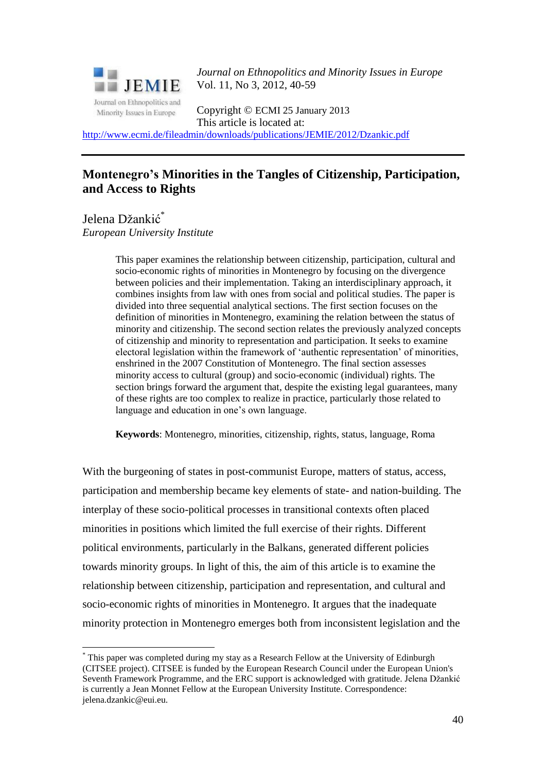

*Journal on Ethnopolitics and Minority Issues in Europe* Vol. 11, No 3, 2012, 40-59

Copyright © ECMI 25 January 2013 This article is located at:

<http://www.ecmi.de/fileadmin/downloads/publications/JEMIE/2012/Dzankic.pdf>

## **Montenegro's Minorities in the Tangles of Citizenship, Participation, and Access to Rights**

Jelena Džankić<sup>\*</sup> *European University Institute*

<u>.</u>

This paper examines the relationship between citizenship, participation, cultural and socio-economic rights of minorities in Montenegro by focusing on the divergence between policies and their implementation. Taking an interdisciplinary approach, it combines insights from law with ones from social and political studies. The paper is divided into three sequential analytical sections. The first section focuses on the definition of minorities in Montenegro, examining the relation between the status of minority and citizenship. The second section relates the previously analyzed concepts of citizenship and minority to representation and participation. It seeks to examine electoral legislation within the framework of 'authentic representation' of minorities, enshrined in the 2007 Constitution of Montenegro. The final section assesses minority access to cultural (group) and socio-economic (individual) rights. The section brings forward the argument that, despite the existing legal guarantees, many of these rights are too complex to realize in practice, particularly those related to language and education in one's own language.

**Keywords**: Montenegro, minorities, citizenship, rights, status, language, Roma

With the burgeoning of states in post-communist Europe, matters of status, access, participation and membership became key elements of state- and nation-building. The interplay of these socio-political processes in transitional contexts often placed minorities in positions which limited the full exercise of their rights. Different political environments, particularly in the Balkans, generated different policies towards minority groups. In light of this, the aim of this article is to examine the relationship between citizenship, participation and representation, and cultural and socio-economic rights of minorities in Montenegro. It argues that the inadequate minority protection in Montenegro emerges both from inconsistent legislation and the

<sup>\*</sup> This paper was completed during my stay as a Research Fellow at the University of Edinburgh (CITSEE project). CITSEE is funded by the European Research Council under the European Union's Seventh Framework Programme, and the ERC support is acknowledged with gratitude. Jelena Džankić is currently a Jean Monnet Fellow at the European University Institute. Correspondence: jelena.dzankic@eui.eu.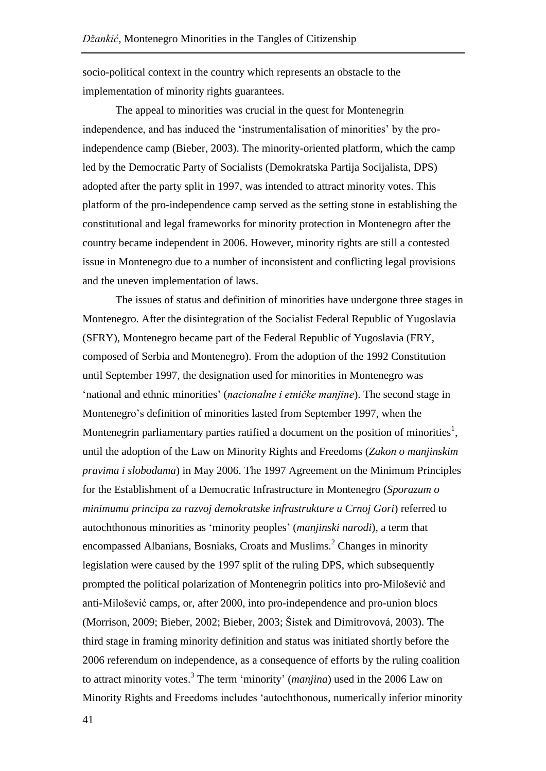socio-political context in the country which represents an obstacle to the implementation of minority rights guarantees.

The appeal to minorities was crucial in the quest for Montenegrin independence, and has induced the 'instrumentalisation of minorities' by the proindependence camp (Bieber, 2003). The minority-oriented platform, which the camp led by the Democratic Party of Socialists (Demokratska Partija Socijalista, DPS) adopted after the party split in 1997, was intended to attract minority votes. This platform of the pro-independence camp served as the setting stone in establishing the constitutional and legal frameworks for minority protection in Montenegro after the country became independent in 2006. However, minority rights are still a contested issue in Montenegro due to a number of inconsistent and conflicting legal provisions and the uneven implementation of laws.

The issues of status and definition of minorities have undergone three stages in Montenegro. After the disintegration of the Socialist Federal Republic of Yugoslavia (SFRY), Montenegro became part of the Federal Republic of Yugoslavia (FRY, composed of Serbia and Montenegro). From the adoption of the 1992 Constitution until September 1997, the designation used for minorities in Montenegro was 'national and ethnic minorities' (*nacionalne i etničke manjine*). The second stage in Montenegro's definition of minorities lasted from September 1997, when the Montenegrin parliamentary parties ratified a document on the position of minorities<sup>1</sup>, until the adoption of the Law on Minority Rights and Freedoms (*Zakon o manjinskim pravima i slobodama*) in May 2006. The 1997 Agreement on the Minimum Principles for the Establishment of a Democratic Infrastructure in Montenegro (*Sporazum o minimumu principa za razvoj demokratske infrastrukture u Crnoj Gori*) referred to autochthonous minorities as 'minority peoples' (*manjinski narodi*), a term that encompassed Albanians, Bosniaks, Croats and Muslims.<sup>2</sup> Changes in minority legislation were caused by the 1997 split of the ruling DPS, which subsequently prompted the political polarization of Montenegrin politics into pro-Milošević and anti-Milošević camps, or, after 2000, into pro-independence and pro-union blocs (Morrison, 2009; Bieber, 2002; Bieber, 2003; Šístek and Dimitrovová, 2003). The third stage in framing minority definition and status was initiated shortly before the 2006 referendum on independence, as a consequence of efforts by the ruling coalition to attract minority votes. 3 The term 'minority' (*manjina*) used in the 2006 Law on Minority Rights and Freedoms includes 'autochthonous, numerically inferior minority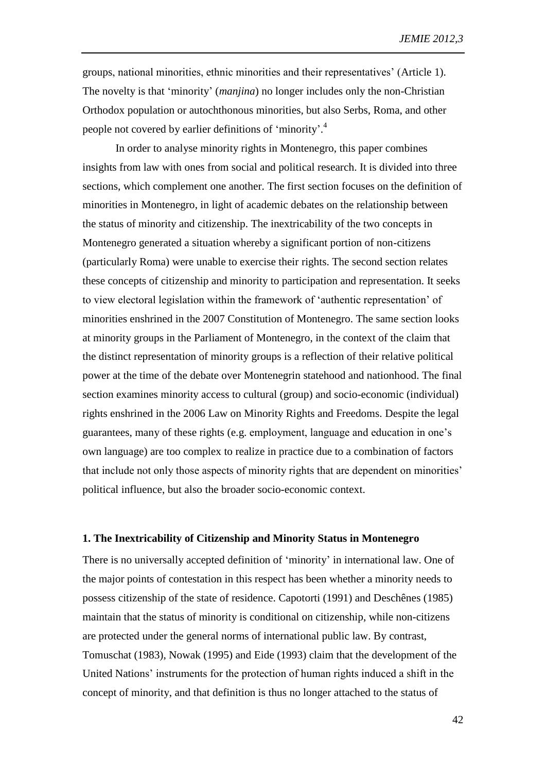groups, national minorities, ethnic minorities and their representatives' (Article 1). The novelty is that 'minority' (*manjina*) no longer includes only the non-Christian Orthodox population or autochthonous minorities, but also Serbs, Roma, and other people not covered by earlier definitions of 'minority'.<sup>4</sup>

In order to analyse minority rights in Montenegro, this paper combines insights from law with ones from social and political research. It is divided into three sections, which complement one another. The first section focuses on the definition of minorities in Montenegro, in light of academic debates on the relationship between the status of minority and citizenship. The inextricability of the two concepts in Montenegro generated a situation whereby a significant portion of non-citizens (particularly Roma) were unable to exercise their rights. The second section relates these concepts of citizenship and minority to participation and representation. It seeks to view electoral legislation within the framework of 'authentic representation' of minorities enshrined in the 2007 Constitution of Montenegro. The same section looks at minority groups in the Parliament of Montenegro, in the context of the claim that the distinct representation of minority groups is a reflection of their relative political power at the time of the debate over Montenegrin statehood and nationhood. The final section examines minority access to cultural (group) and socio-economic (individual) rights enshrined in the 2006 Law on Minority Rights and Freedoms. Despite the legal guarantees, many of these rights (e.g. employment, language and education in one's own language) are too complex to realize in practice due to a combination of factors that include not only those aspects of minority rights that are dependent on minorities' political influence, but also the broader socio-economic context.

#### **1. The Inextricability of Citizenship and Minority Status in Montenegro**

There is no universally accepted definition of 'minority' in international law. One of the major points of contestation in this respect has been whether a minority needs to possess citizenship of the state of residence. Capotorti (1991) and Deschênes (1985) maintain that the status of minority is conditional on citizenship, while non-citizens are protected under the general norms of international public law. By contrast, Tomuschat (1983), Nowak (1995) and Eide (1993) claim that the development of the United Nations' instruments for the protection of human rights induced a shift in the concept of minority, and that definition is thus no longer attached to the status of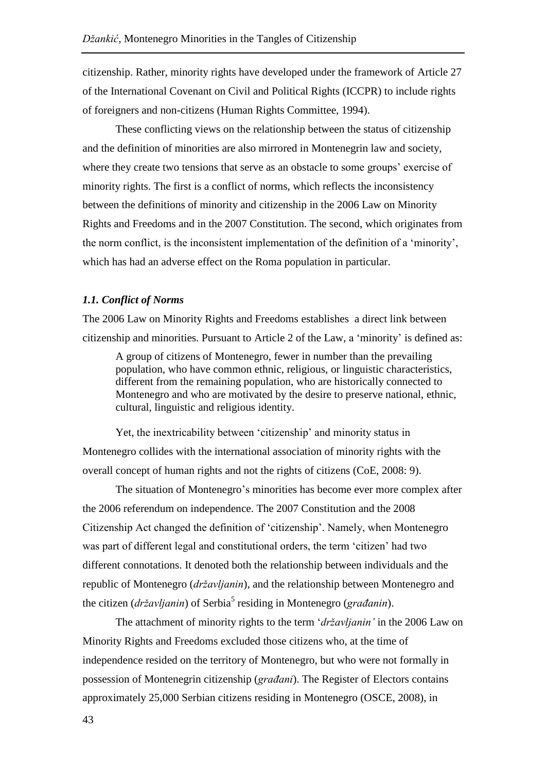citizenship. Rather, minority rights have developed under the framework of Article 27 of the International Covenant on Civil and Political Rights (ICCPR) to include rights of foreigners and non-citizens (Human Rights Committee, 1994).

These conflicting views on the relationship between the status of citizenship and the definition of minorities are also mirrored in Montenegrin law and society, where they create two tensions that serve as an obstacle to some groups' exercise of minority rights. The first is a conflict of norms, which reflects the inconsistency between the definitions of minority and citizenship in the 2006 Law on Minority Rights and Freedoms and in the 2007 Constitution. The second, which originates from the norm conflict, is the inconsistent implementation of the definition of a 'minority', which has had an adverse effect on the Roma population in particular.

### *1.1. Conflict of Norms*

The 2006 Law on Minority Rights and Freedoms establishes a direct link between citizenship and minorities. Pursuant to Article 2 of the Law, a 'minority' is defined as:

A group of citizens of Montenegro, fewer in number than the prevailing population, who have common ethnic, religious, or linguistic characteristics, different from the remaining population, who are historically connected to Montenegro and who are motivated by the desire to preserve national, ethnic, cultural, linguistic and religious identity.

Yet, the inextricability between 'citizenship' and minority status in Montenegro collides with the international association of minority rights with the overall concept of human rights and not the rights of citizens (CoE, 2008: 9).

The situation of Montenegro's minorities has become ever more complex after the 2006 referendum on independence. The 2007 Constitution and the 2008 Citizenship Act changed the definition of 'citizenship'. Namely, when Montenegro was part of different legal and constitutional orders, the term 'citizen' had two different connotations. It denoted both the relationship between individuals and the republic of Montenegro (*državljanin*), and the relationship between Montenegro and the citizen (*državljanin*) of Serbia<sup>5</sup> residing in Montenegro (*građanin*).

The attachment of minority rights to the term '*državljanin'* in the 2006 Law on Minority Rights and Freedoms excluded those citizens who, at the time of independence resided on the territory of Montenegro, but who were not formally in possession of Montenegrin citizenship (*građani*). The Register of Electors contains approximately 25,000 Serbian citizens residing in Montenegro (OSCE, 2008), in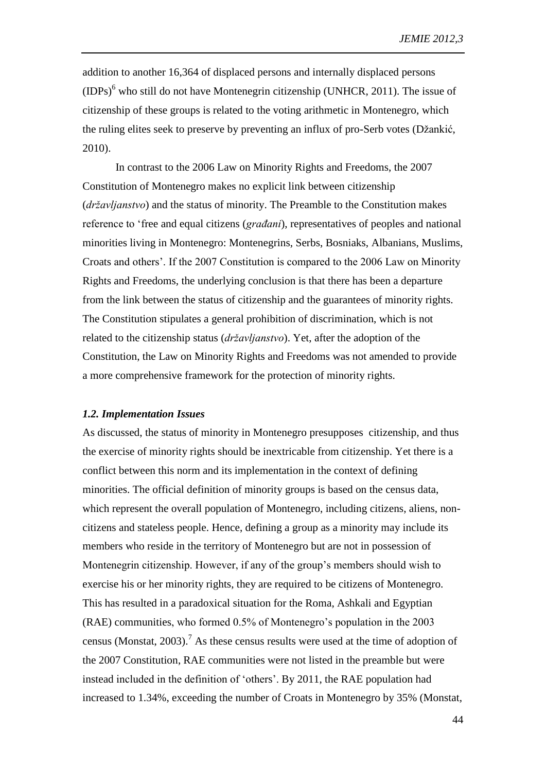addition to another 16,364 of displaced persons and internally displaced persons  $(IDPs)<sup>6</sup>$  who still do not have Montenegrin citizenship (UNHCR, 2011). The issue of citizenship of these groups is related to the voting arithmetic in Montenegro, which the ruling elites seek to preserve by preventing an influx of pro-Serb votes (Džankić, 2010).

In contrast to the 2006 Law on Minority Rights and Freedoms, the 2007 Constitution of Montenegro makes no explicit link between citizenship (*državljanstvo*) and the status of minority. The Preamble to the Constitution makes reference to 'free and equal citizens (*građani*), representatives of peoples and national minorities living in Montenegro: Montenegrins, Serbs, Bosniaks, Albanians, Muslims, Croats and others'. If the 2007 Constitution is compared to the 2006 Law on Minority Rights and Freedoms, the underlying conclusion is that there has been a departure from the link between the status of citizenship and the guarantees of minority rights. The Constitution stipulates a general prohibition of discrimination, which is not related to the citizenship status (*državljanstvo*). Yet, after the adoption of the Constitution, the Law on Minority Rights and Freedoms was not amended to provide a more comprehensive framework for the protection of minority rights.

#### *1.2. Implementation Issues*

As discussed, the status of minority in Montenegro presupposes citizenship, and thus the exercise of minority rights should be inextricable from citizenship. Yet there is a conflict between this norm and its implementation in the context of defining minorities. The official definition of minority groups is based on the census data, which represent the overall population of Montenegro, including citizens, aliens, noncitizens and stateless people. Hence, defining a group as a minority may include its members who reside in the territory of Montenegro but are not in possession of Montenegrin citizenship. However, if any of the group's members should wish to exercise his or her minority rights, they are required to be citizens of Montenegro. This has resulted in a paradoxical situation for the Roma, Ashkali and Egyptian (RAE) communities, who formed 0.5% of Montenegro's population in the 2003 census (Monstat, 2003).<sup>7</sup> As these census results were used at the time of adoption of the 2007 Constitution, RAE communities were not listed in the preamble but were instead included in the definition of 'others'. By 2011, the RAE population had increased to 1.34%, exceeding the number of Croats in Montenegro by 35% (Monstat,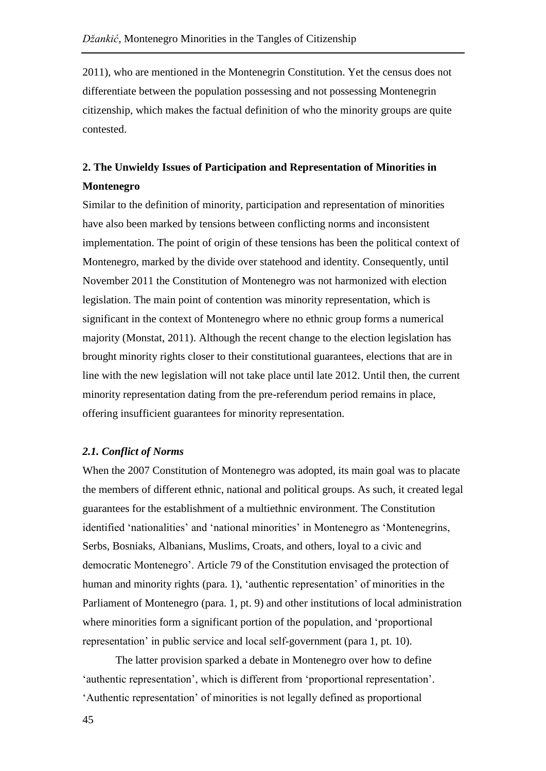2011), who are mentioned in the Montenegrin Constitution. Yet the census does not differentiate between the population possessing and not possessing Montenegrin citizenship, which makes the factual definition of who the minority groups are quite contested.

# **2. The Unwieldy Issues of Participation and Representation of Minorities in Montenegro**

Similar to the definition of minority, participation and representation of minorities have also been marked by tensions between conflicting norms and inconsistent implementation. The point of origin of these tensions has been the political context of Montenegro, marked by the divide over statehood and identity. Consequently, until November 2011 the Constitution of Montenegro was not harmonized with election legislation. The main point of contention was minority representation, which is significant in the context of Montenegro where no ethnic group forms a numerical majority (Monstat, 2011). Although the recent change to the election legislation has brought minority rights closer to their constitutional guarantees, elections that are in line with the new legislation will not take place until late 2012. Until then, the current minority representation dating from the pre-referendum period remains in place, offering insufficient guarantees for minority representation.

## *2.1. Conflict of Norms*

When the 2007 Constitution of Montenegro was adopted, its main goal was to placate the members of different ethnic, national and political groups. As such, it created legal guarantees for the establishment of a multiethnic environment. The Constitution identified 'nationalities' and 'national minorities' in Montenegro as 'Montenegrins, Serbs, Bosniaks, Albanians, Muslims, Croats, and others, loyal to a civic and democratic Montenegro'. Article 79 of the Constitution envisaged the protection of human and minority rights (para. 1), 'authentic representation' of minorities in the Parliament of Montenegro (para. 1, pt. 9) and other institutions of local administration where minorities form a significant portion of the population, and 'proportional representation' in public service and local self-government (para 1, pt. 10).

The latter provision sparked a debate in Montenegro over how to define 'authentic representation', which is different from 'proportional representation'. 'Authentic representation' of minorities is not legally defined as proportional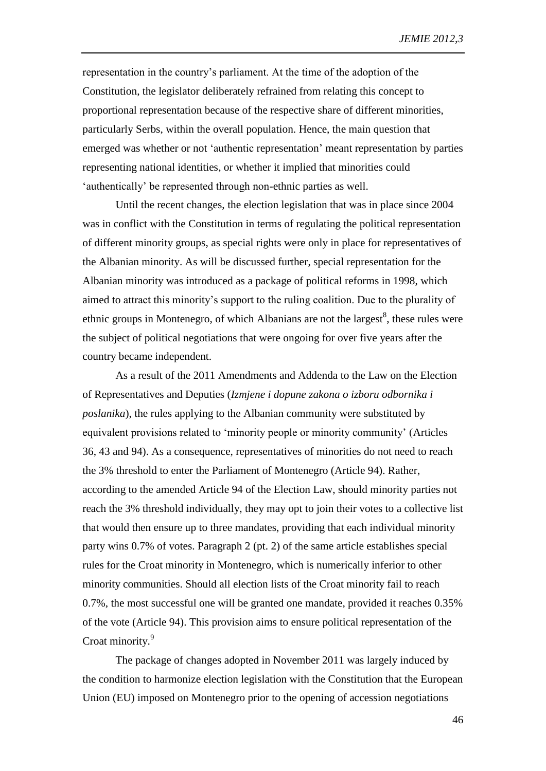representation in the country's parliament. At the time of the adoption of the Constitution, the legislator deliberately refrained from relating this concept to proportional representation because of the respective share of different minorities, particularly Serbs, within the overall population. Hence, the main question that emerged was whether or not 'authentic representation' meant representation by parties representing national identities, or whether it implied that minorities could 'authentically' be represented through non-ethnic parties as well.

Until the recent changes, the election legislation that was in place since 2004 was in conflict with the Constitution in terms of regulating the political representation of different minority groups, as special rights were only in place for representatives of the Albanian minority. As will be discussed further, special representation for the Albanian minority was introduced as a package of political reforms in 1998, which aimed to attract this minority's support to the ruling coalition. Due to the plurality of ethnic groups in Montenegro, of which Albanians are not the largest $<sup>8</sup>$ , these rules were</sup> the subject of political negotiations that were ongoing for over five years after the country became independent.

As a result of the 2011 Amendments and Addenda to the Law on the Election of Representatives and Deputies (*Izmjene i dopune zakona o izboru odbornika i poslanika*), the rules applying to the Albanian community were substituted by equivalent provisions related to 'minority people or minority community' (Articles 36, 43 and 94). As a consequence, representatives of minorities do not need to reach the 3% threshold to enter the Parliament of Montenegro (Article 94). Rather, according to the amended Article 94 of the Election Law, should minority parties not reach the 3% threshold individually, they may opt to join their votes to a collective list that would then ensure up to three mandates, providing that each individual minority party wins 0.7% of votes. Paragraph 2 (pt. 2) of the same article establishes special rules for the Croat minority in Montenegro, which is numerically inferior to other minority communities. Should all election lists of the Croat minority fail to reach 0.7%, the most successful one will be granted one mandate, provided it reaches 0.35% of the vote (Article 94). This provision aims to ensure political representation of the Croat minority.<sup>9</sup>

The package of changes adopted in November 2011 was largely induced by the condition to harmonize election legislation with the Constitution that the European Union (EU) imposed on Montenegro prior to the opening of accession negotiations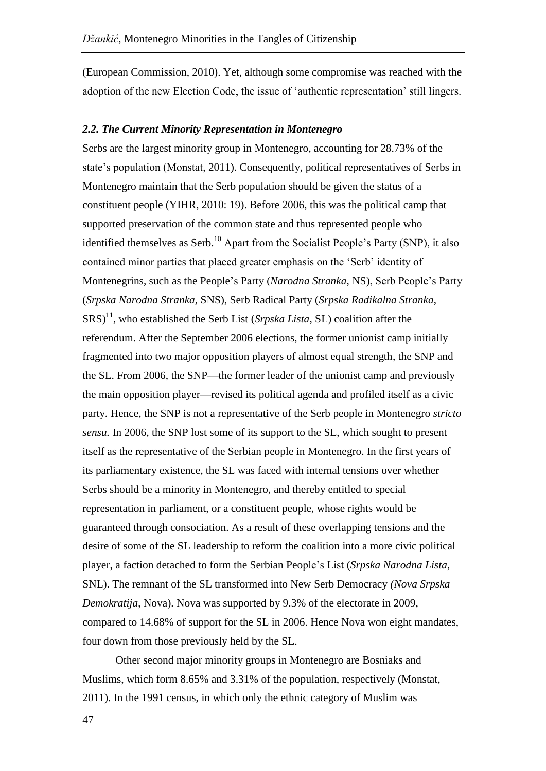(European Commission, 2010). Yet, although some compromise was reached with the adoption of the new Election Code, the issue of 'authentic representation' still lingers.

## *2.2. The Current Minority Representation in Montenegro*

Serbs are the largest minority group in Montenegro, accounting for 28.73% of the state's population (Monstat, 2011). Consequently, political representatives of Serbs in Montenegro maintain that the Serb population should be given the status of a constituent people (YIHR, 2010: 19). Before 2006, this was the political camp that supported preservation of the common state and thus represented people who identified themselves as Serb.<sup>10</sup> Apart from the Socialist People's Party (SNP), it also contained minor parties that placed greater emphasis on the 'Serb' identity of Montenegrins, such as the People's Party (*Narodna Stranka*, NS), Serb People's Party (*Srpska Narodna Stranka*, SNS), Serb Radical Party (*Srpska Radikalna Stranka*,  $SRS$ <sup>11</sup>, who established the Serb List (*Srpska Lista*, SL) coalition after the referendum. After the September 2006 elections, the former unionist camp initially fragmented into two major opposition players of almost equal strength, the SNP and the SL. From 2006, the SNP—the former leader of the unionist camp and previously the main opposition player—revised its political agenda and profiled itself as a civic party. Hence, the SNP is not a representative of the Serb people in Montenegro *stricto sensu.* In 2006, the SNP lost some of its support to the SL, which sought to present itself as the representative of the Serbian people in Montenegro. In the first years of its parliamentary existence, the SL was faced with internal tensions over whether Serbs should be a minority in Montenegro, and thereby entitled to special representation in parliament, or a constituent people, whose rights would be guaranteed through consociation. As a result of these overlapping tensions and the desire of some of the SL leadership to reform the coalition into a more civic political player, a faction detached to form the Serbian People's List (*Srpska Narodna Lista*, SNL). The remnant of the SL transformed into New Serb Democracy *(Nova Srpska Demokratija*, Nova). Nova was supported by 9.3% of the electorate in 2009, compared to 14.68% of support for the SL in 2006. Hence Nova won eight mandates, four down from those previously held by the SL.

Other second major minority groups in Montenegro are Bosniaks and Muslims, which form 8.65% and 3.31% of the population, respectively (Monstat, 2011). In the 1991 census, in which only the ethnic category of Muslim was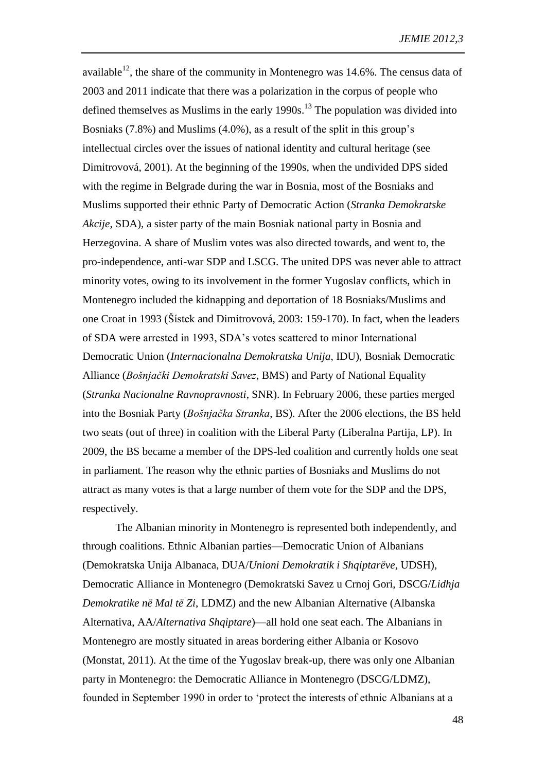available<sup>12</sup>, the share of the community in Montenegro was 14.6%. The census data of 2003 and 2011 indicate that there was a polarization in the corpus of people who defined themselves as Muslims in the early  $1990s$ .<sup>13</sup> The population was divided into Bosniaks (7.8%) and Muslims (4.0%), as a result of the split in this group's intellectual circles over the issues of national identity and cultural heritage (see Dimitrovová, 2001). At the beginning of the 1990s, when the undivided DPS sided with the regime in Belgrade during the war in Bosnia, most of the Bosniaks and Muslims supported their ethnic Party of Democratic Action (*Stranka Demokratske Akcije*, SDA), a sister party of the main Bosniak national party in Bosnia and Herzegovina. A share of Muslim votes was also directed towards, and went to, the pro-independence, anti-war SDP and LSCG. The united DPS was never able to attract minority votes, owing to its involvement in the former Yugoslav conflicts, which in Montenegro included the kidnapping and deportation of 18 Bosniaks/Muslims and one Croat in 1993 (Šístek and Dimitrovová, 2003: 159-170). In fact, when the leaders of SDA were arrested in 1993, SDA's votes scattered to minor International Democratic Union (*Internacionalna Demokratska Unija*, IDU), Bosniak Democratic Alliance (*Bošnjački Demokratski Savez*, BMS) and Party of National Equality (*Stranka Nacionalne Ravnopravnosti*, SNR). In February 2006, these parties merged into the Bosniak Party (*Bošnjačka Stranka*, BS). After the 2006 elections, the BS held two seats (out of three) in coalition with the Liberal Party (Liberalna Partija, LP). In 2009, the BS became a member of the DPS-led coalition and currently holds one seat in parliament. The reason why the ethnic parties of Bosniaks and Muslims do not attract as many votes is that a large number of them vote for the SDP and the DPS, respectively.

The Albanian minority in Montenegro is represented both independently, and through coalitions. Ethnic Albanian parties—Democratic Union of Albanians (Demokratska Unija Albanaca, DUA/*Unioni Demokratik i Shqiptarëve*, UDSH), Democratic Alliance in Montenegro (Demokratski Savez u Crnoj Gori, DSCG/*Lidhja Demokratike në Mal të Zi*, LDMZ) and the new Albanian Alternative (Albanska Alternativa, AA/*Alternativa Shqiptare*)—all hold one seat each. The Albanians in Montenegro are mostly situated in areas bordering either Albania or Kosovo (Monstat, 2011). At the time of the Yugoslav break-up, there was only one Albanian party in Montenegro: the Democratic Alliance in Montenegro (DSCG/LDMZ), founded in September 1990 in order to 'protect the interests of ethnic Albanians at a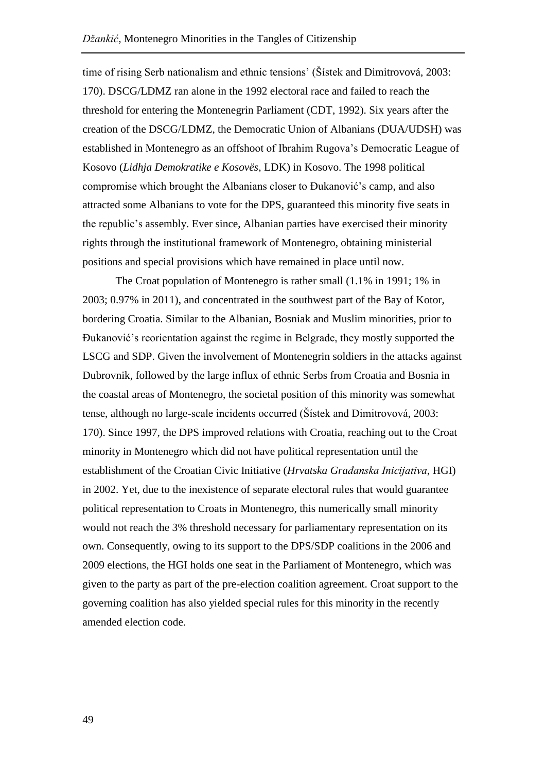time of rising Serb nationalism and ethnic tensions' (Šístek and Dimitrovová, 2003: 170). DSCG/LDMZ ran alone in the 1992 electoral race and failed to reach the threshold for entering the Montenegrin Parliament (CDT, 1992). Six years after the creation of the DSCG/LDMZ, the Democratic Union of Albanians (DUA/UDSH) was established in Montenegro as an offshoot of Ibrahim Rugova's Democratic League of Kosovo (*Lidhja Demokratike e Kosovës*, LDK) in Kosovo. The 1998 political compromise which brought the Albanians closer to Đukanović's camp, and also attracted some Albanians to vote for the DPS, guaranteed this minority five seats in the republic's assembly. Ever since, Albanian parties have exercised their minority rights through the institutional framework of Montenegro, obtaining ministerial positions and special provisions which have remained in place until now.

The Croat population of Montenegro is rather small (1.1% in 1991; 1% in 2003; 0.97% in 2011), and concentrated in the southwest part of the Bay of Kotor, bordering Croatia. Similar to the Albanian, Bosniak and Muslim minorities, prior to Đukanović's reorientation against the regime in Belgrade, they mostly supported the LSCG and SDP. Given the involvement of Montenegrin soldiers in the attacks against Dubrovnik, followed by the large influx of ethnic Serbs from Croatia and Bosnia in the coastal areas of Montenegro, the societal position of this minority was somewhat tense, although no large-scale incidents occurred (Šístek and Dimitrovová, 2003: 170). Since 1997, the DPS improved relations with Croatia, reaching out to the Croat minority in Montenegro which did not have political representation until the establishment of the Croatian Civic Initiative (*Hrvatska Građanska Inicijativa*, HGI) in 2002. Yet, due to the inexistence of separate electoral rules that would guarantee political representation to Croats in Montenegro, this numerically small minority would not reach the 3% threshold necessary for parliamentary representation on its own. Consequently, owing to its support to the DPS/SDP coalitions in the 2006 and 2009 elections, the HGI holds one seat in the Parliament of Montenegro, which was given to the party as part of the pre-election coalition agreement. Croat support to the governing coalition has also yielded special rules for this minority in the recently amended election code.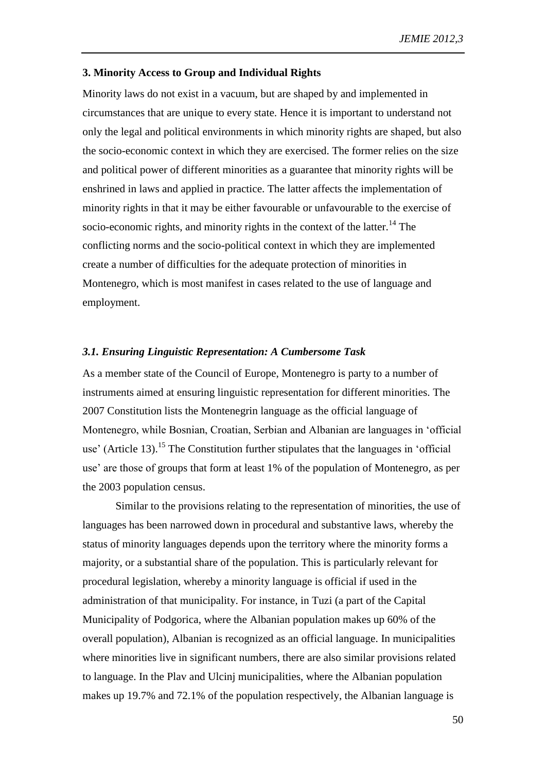#### **3. Minority Access to Group and Individual Rights**

Minority laws do not exist in a vacuum, but are shaped by and implemented in circumstances that are unique to every state. Hence it is important to understand not only the legal and political environments in which minority rights are shaped, but also the socio-economic context in which they are exercised. The former relies on the size and political power of different minorities as a guarantee that minority rights will be enshrined in laws and applied in practice. The latter affects the implementation of minority rights in that it may be either favourable or unfavourable to the exercise of socio-economic rights, and minority rights in the context of the latter.<sup>14</sup> The conflicting norms and the socio-political context in which they are implemented create a number of difficulties for the adequate protection of minorities in Montenegro, which is most manifest in cases related to the use of language and employment.

#### *3.1. Ensuring Linguistic Representation: A Cumbersome Task*

As a member state of the Council of Europe, Montenegro is party to a number of instruments aimed at ensuring linguistic representation for different minorities. The 2007 Constitution lists the Montenegrin language as the official language of Montenegro, while Bosnian, Croatian, Serbian and Albanian are languages in 'official use' (Article 13).<sup>15</sup> The Constitution further stipulates that the languages in 'official use' are those of groups that form at least 1% of the population of Montenegro, as per the 2003 population census.

Similar to the provisions relating to the representation of minorities, the use of languages has been narrowed down in procedural and substantive laws, whereby the status of minority languages depends upon the territory where the minority forms a majority, or a substantial share of the population. This is particularly relevant for procedural legislation, whereby a minority language is official if used in the administration of that municipality. For instance, in Tuzi (a part of the Capital Municipality of Podgorica, where the Albanian population makes up 60% of the overall population), Albanian is recognized as an official language. In municipalities where minorities live in significant numbers, there are also similar provisions related to language. In the Plav and Ulcinj municipalities, where the Albanian population makes up 19.7% and 72.1% of the population respectively, the Albanian language is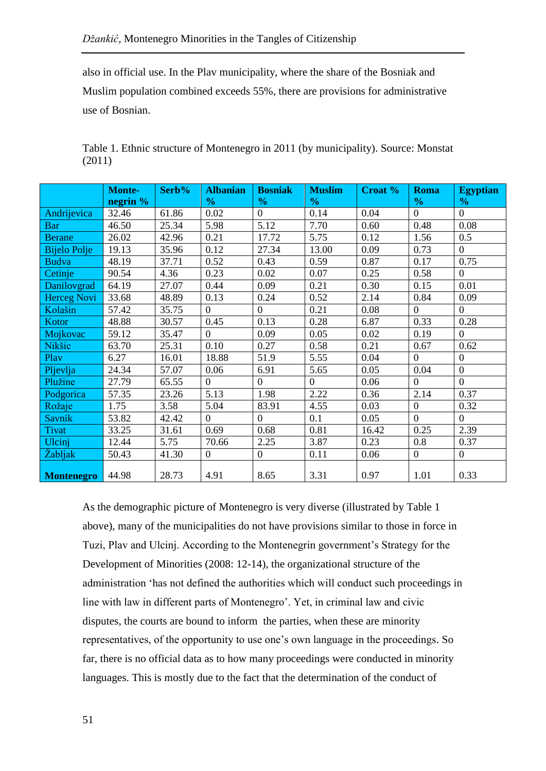also in official use. In the Plav municipality, where the share of the Bosniak and Muslim population combined exceeds 55%, there are provisions for administrative use of Bosnian.

| Table 1. Ethnic structure of Montenegro in 2011 (by municipality). Source: Monstat |  |
|------------------------------------------------------------------------------------|--|
| (2011)                                                                             |  |

|                     | <b>Monte-</b> | Serb% | <b>Albanian</b> | <b>Bosniak</b> | <b>Muslim</b>  | <b>Croat</b> % | <b>Roma</b>    | <b>Egyptian</b>  |
|---------------------|---------------|-------|-----------------|----------------|----------------|----------------|----------------|------------------|
|                     | negrin %      |       | $\frac{1}{2}$   | $\frac{0}{0}$  | $\frac{0}{0}$  |                | $\frac{0}{0}$  | $\frac{0}{0}$    |
| Andrijevica         | 32.46         | 61.86 | 0.02            | $\overline{0}$ | 0.14           | 0.04           | $\overline{0}$ | $\overline{0}$   |
| <b>Bar</b>          | 46.50         | 25.34 | 5.98            | 5.12           | 7.70           | 0.60           | 0.48           | 0.08             |
| <b>Berane</b>       | 26.02         | 42.96 | 0.21            | 17.72          | 5.75           | 0.12           | 1.56           | 0.5              |
| <b>Bijelo Polje</b> | 19.13         | 35.96 | 0.12            | 27.34          | 13.00          | 0.09           | 0.73           | $\overline{0}$   |
| <b>Budva</b>        | 48.19         | 37.71 | 0.52            | 0.43           | 0.59           | 0.87           | 0.17           | 0.75             |
| Cetinje             | 90.54         | 4.36  | 0.23            | 0.02           | 0.07           | 0.25           | 0.58           | $\overline{0}$   |
| Danilovgrad         | 64.19         | 27.07 | 0.44            | 0.09           | 0.21           | 0.30           | 0.15           | 0.01             |
| <b>Herceg Novi</b>  | 33.68         | 48.89 | 0.13            | 0.24           | 0.52           | 2.14           | 0.84           | 0.09             |
| Kolašin             | 57.42         | 35.75 | $\overline{0}$  | $\overline{0}$ | 0.21           | 0.08           | $\overline{0}$ | $\overline{0}$   |
| Kotor               | 48.88         | 30.57 | 0.45            | 0.13           | 0.28           | 6.87           | 0.33           | 0.28             |
| Mojkovac            | 59.12         | 35.47 | $\Omega$        | 0.09           | 0.05           | 0.02           | 0.19           | $\overline{0}$   |
| Nikšic              | 63.70         | 25.31 | 0.10            | 0.27           | 0.58           | 0.21           | 0.67           | 0.62             |
| Play                | 6.27          | 16.01 | 18.88           | 51.9           | 5.55           | 0.04           | $\overline{0}$ | $\boldsymbol{0}$ |
| Pljevlja            | 24.34         | 57.07 | 0.06            | 6.91           | 5.65           | 0.05           | 0.04           | $\boldsymbol{0}$ |
| Plužine             | 27.79         | 65.55 | $\overline{0}$  | $\overline{0}$ | $\overline{0}$ | 0.06           | $\overline{0}$ | $\overline{0}$   |
| Podgorica           | 57.35         | 23.26 | 5.13            | 1.98           | 2.22           | 0.36           | 2.14           | 0.37             |
| Rožaje              | 1.75          | 3.58  | 5.04            | 83.91          | 4.55           | 0.03           | $\overline{0}$ | 0.32             |
| Savnik              | 53.82         | 42.42 | $\overline{0}$  | $\overline{0}$ | 0.1            | 0.05           | $\overline{0}$ | $\overline{0}$   |
| Tivat               | 33.25         | 31.61 | 0.69            | 0.68           | 0.81           | 16.42          | 0.25           | 2.39             |
| Ulcinj              | 12.44         | 5.75  | 70.66           | 2.25           | 3.87           | 0.23           | 0.8            | 0.37             |
| Žabljak             | 50.43         | 41.30 | $\mathbf{0}$    | $\overline{0}$ | 0.11           | 0.06           | $\overline{0}$ | $\overline{0}$   |
| <b>Montenegro</b>   | 44.98         | 28.73 | 4.91            | 8.65           | 3.31           | 0.97           | 1.01           | 0.33             |

As the demographic picture of Montenegro is very diverse (illustrated by Table 1 above), many of the municipalities do not have provisions similar to those in force in Tuzi, Plav and Ulcinj. According to the Montenegrin government's Strategy for the Development of Minorities (2008: 12-14), the organizational structure of the administration 'has not defined the authorities which will conduct such proceedings in line with law in different parts of Montenegro'. Yet, in criminal law and civic disputes, the courts are bound to inform the parties, when these are minority representatives, of the opportunity to use one's own language in the proceedings. So far, there is no official data as to how many proceedings were conducted in minority languages. This is mostly due to the fact that the determination of the conduct of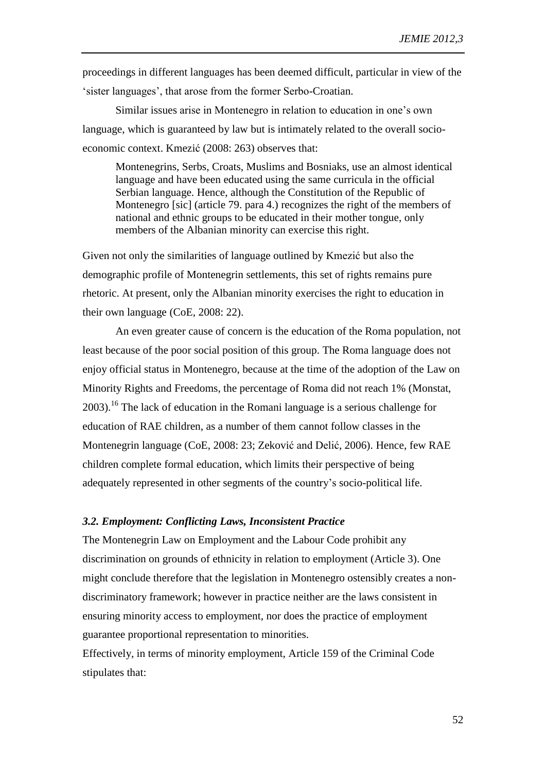proceedings in different languages has been deemed difficult, particular in view of the 'sister languages', that arose from the former Serbo-Croatian.

Similar issues arise in Montenegro in relation to education in one's own language, which is guaranteed by law but is intimately related to the overall socioeconomic context. Kmezić (2008: 263) observes that:

Montenegrins, Serbs, Croats, Muslims and Bosniaks, use an almost identical language and have been educated using the same curricula in the official Serbian language. Hence, although the Constitution of the Republic of Montenegro [sic] (article 79. para 4.) recognizes the right of the members of national and ethnic groups to be educated in their mother tongue, only members of the Albanian minority can exercise this right.

Given not only the similarities of language outlined by Kmezić but also the demographic profile of Montenegrin settlements, this set of rights remains pure rhetoric. At present, only the Albanian minority exercises the right to education in their own language (CoE, 2008: 22).

An even greater cause of concern is the education of the Roma population, not least because of the poor social position of this group. The Roma language does not enjoy official status in Montenegro, because at the time of the adoption of the Law on Minority Rights and Freedoms, the percentage of Roma did not reach 1% (Monstat, 2003). <sup>16</sup> The lack of education in the Romani language is a serious challenge for education of RAE children, as a number of them cannot follow classes in the Montenegrin language (CoE, 2008: 23; Zeković and Delić, 2006). Hence, few RAE children complete formal education, which limits their perspective of being adequately represented in other segments of the country's socio-political life.

#### *3.2. Employment: Conflicting Laws, Inconsistent Practice*

The Montenegrin Law on Employment and the Labour Code prohibit any discrimination on grounds of ethnicity in relation to employment (Article 3). One might conclude therefore that the legislation in Montenegro ostensibly creates a nondiscriminatory framework; however in practice neither are the laws consistent in ensuring minority access to employment, nor does the practice of employment guarantee proportional representation to minorities.

Effectively, in terms of minority employment, Article 159 of the Criminal Code stipulates that: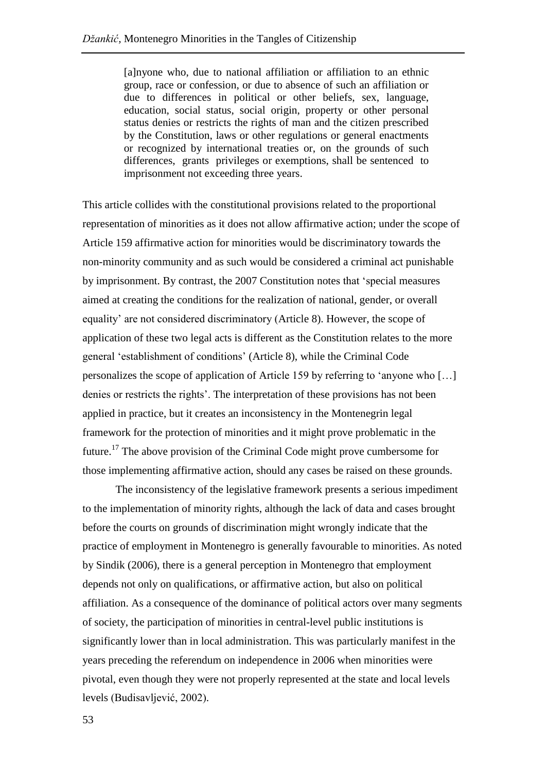[a]nyone who, due to national affiliation or affiliation to an ethnic group, race or confession, or due to absence of such an affiliation or due to differences in political or other beliefs, sex, language, education, social status, social origin, property or other personal status denies or restricts the rights of man and the citizen prescribed by the Constitution, laws or other regulations or general enactments or recognized by international treaties or, on the grounds of such differences, grants privileges or exemptions, shall be sentenced to imprisonment not exceeding three years.

This article collides with the constitutional provisions related to the proportional representation of minorities as it does not allow affirmative action; under the scope of Article 159 affirmative action for minorities would be discriminatory towards the non-minority community and as such would be considered a criminal act punishable by imprisonment. By contrast, the 2007 Constitution notes that 'special measures aimed at creating the conditions for the realization of national, gender, or overall equality' are not considered discriminatory (Article 8). However, the scope of application of these two legal acts is different as the Constitution relates to the more general 'establishment of conditions' (Article 8), while the Criminal Code personalizes the scope of application of Article 159 by referring to 'anyone who […] denies or restricts the rights'. The interpretation of these provisions has not been applied in practice, but it creates an inconsistency in the Montenegrin legal framework for the protection of minorities and it might prove problematic in the future.<sup>17</sup> The above provision of the Criminal Code might prove cumbersome for those implementing affirmative action, should any cases be raised on these grounds.

The inconsistency of the legislative framework presents a serious impediment to the implementation of minority rights, although the lack of data and cases brought before the courts on grounds of discrimination might wrongly indicate that the practice of employment in Montenegro is generally favourable to minorities. As noted by Sindik (2006), there is a general perception in Montenegro that employment depends not only on qualifications, or affirmative action, but also on political affiliation. As a consequence of the dominance of political actors over many segments of society, the participation of minorities in central-level public institutions is significantly lower than in local administration. This was particularly manifest in the years preceding the referendum on independence in 2006 when minorities were pivotal, even though they were not properly represented at the state and local levels levels (Budisavljević, 2002).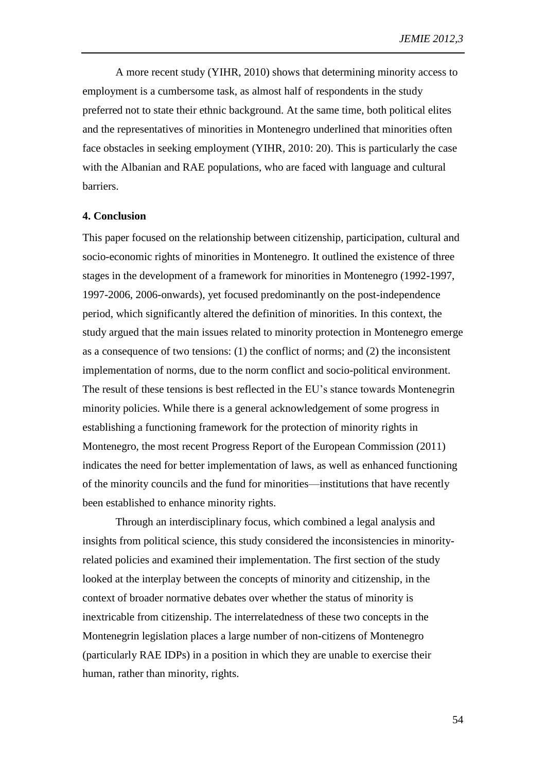A more recent study (YIHR, 2010) shows that determining minority access to employment is a cumbersome task, as almost half of respondents in the study preferred not to state their ethnic background. At the same time, both political elites and the representatives of minorities in Montenegro underlined that minorities often face obstacles in seeking employment (YIHR, 2010: 20). This is particularly the case with the Albanian and RAE populations, who are faced with language and cultural barriers.

#### **4. Conclusion**

This paper focused on the relationship between citizenship, participation, cultural and socio-economic rights of minorities in Montenegro. It outlined the existence of three stages in the development of a framework for minorities in Montenegro (1992-1997, 1997-2006, 2006-onwards), yet focused predominantly on the post-independence period, which significantly altered the definition of minorities. In this context, the study argued that the main issues related to minority protection in Montenegro emerge as a consequence of two tensions: (1) the conflict of norms; and (2) the inconsistent implementation of norms, due to the norm conflict and socio-political environment. The result of these tensions is best reflected in the EU's stance towards Montenegrin minority policies. While there is a general acknowledgement of some progress in establishing a functioning framework for the protection of minority rights in Montenegro, the most recent Progress Report of the European Commission (2011) indicates the need for better implementation of laws, as well as enhanced functioning of the minority councils and the fund for minorities—institutions that have recently been established to enhance minority rights.

Through an interdisciplinary focus, which combined a legal analysis and insights from political science, this study considered the inconsistencies in minorityrelated policies and examined their implementation. The first section of the study looked at the interplay between the concepts of minority and citizenship, in the context of broader normative debates over whether the status of minority is inextricable from citizenship. The interrelatedness of these two concepts in the Montenegrin legislation places a large number of non-citizens of Montenegro (particularly RAE IDPs) in a position in which they are unable to exercise their human, rather than minority, rights.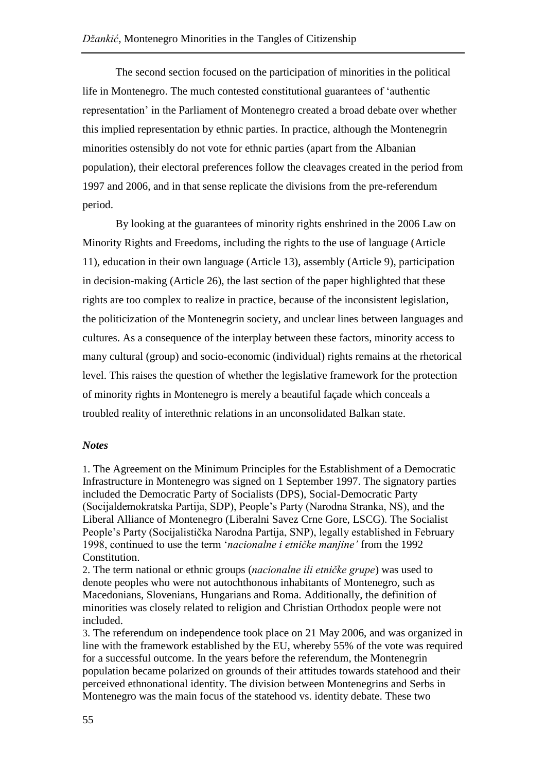The second section focused on the participation of minorities in the political life in Montenegro. The much contested constitutional guarantees of 'authentic representation' in the Parliament of Montenegro created a broad debate over whether this implied representation by ethnic parties. In practice, although the Montenegrin minorities ostensibly do not vote for ethnic parties (apart from the Albanian population), their electoral preferences follow the cleavages created in the period from 1997 and 2006, and in that sense replicate the divisions from the pre-referendum period.

By looking at the guarantees of minority rights enshrined in the 2006 Law on Minority Rights and Freedoms, including the rights to the use of language (Article 11), education in their own language (Article 13), assembly (Article 9), participation in decision-making (Article 26), the last section of the paper highlighted that these rights are too complex to realize in practice, because of the inconsistent legislation, the politicization of the Montenegrin society, and unclear lines between languages and cultures. As a consequence of the interplay between these factors, minority access to many cultural (group) and socio-economic (individual) rights remains at the rhetorical level. This raises the question of whether the legislative framework for the protection of minority rights in Montenegro is merely a beautiful façade which conceals a troubled reality of interethnic relations in an unconsolidated Balkan state.

## *Notes*

1. The Agreement on the Minimum Principles for the Establishment of a Democratic Infrastructure in Montenegro was signed on 1 September 1997. The signatory parties included the Democratic Party of Socialists (DPS), Social-Democratic Party (Socijaldemokratska Partija, SDP), People's Party (Narodna Stranka, NS), and the Liberal Alliance of Montenegro (Liberalni Savez Crne Gore, LSCG). The Socialist People's Party (Socijalistička Narodna Partija, SNP), legally established in February 1998, continued to use the term '*nacionalne i etničke manjine'* from the 1992 Constitution.

2. The term national or ethnic groups (*nacionalne ili etničke grupe*) was used to denote peoples who were not autochthonous inhabitants of Montenegro, such as Macedonians, Slovenians, Hungarians and Roma. Additionally, the definition of minorities was closely related to religion and Christian Orthodox people were not included.

3. The referendum on independence took place on 21 May 2006, and was organized in line with the framework established by the EU, whereby 55% of the vote was required for a successful outcome. In the years before the referendum, the Montenegrin population became polarized on grounds of their attitudes towards statehood and their perceived ethnonational identity. The division between Montenegrins and Serbs in Montenegro was the main focus of the statehood vs. identity debate. These two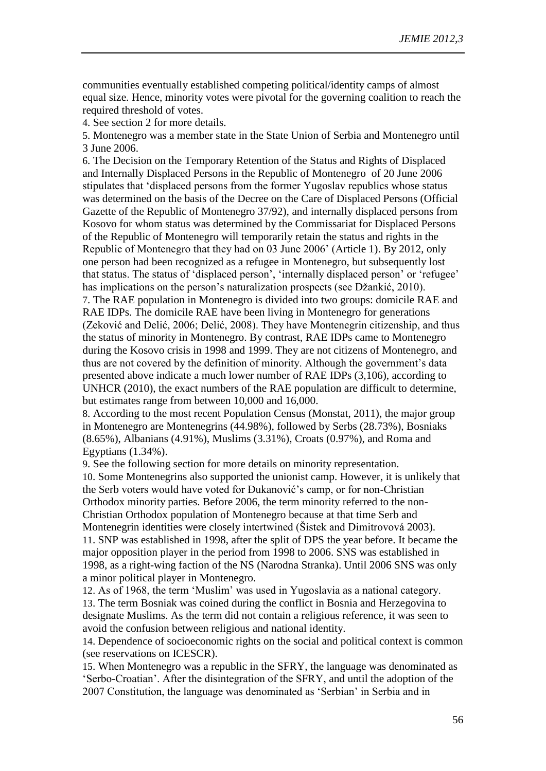communities eventually established competing political/identity camps of almost equal size. Hence, minority votes were pivotal for the governing coalition to reach the required threshold of votes.

4. See section 2 for more details.

5. Montenegro was a member state in the State Union of Serbia and Montenegro until 3 June 2006.

6. The Decision on the Temporary Retention of the Status and Rights of Displaced and Internally Displaced Persons in the Republic of Montenegro of 20 June 2006 stipulates that 'displaced persons from the former Yugoslav republics whose status was determined on the basis of the Decree on the Care of Displaced Persons (Official Gazette of the Republic of Montenegro 37/92), and internally displaced persons from Kosovo for whom status was determined by the Commissariat for Displaced Persons of the Republic of Montenegro will temporarily retain the status and rights in the Republic of Montenegro that they had on 03 June 2006' (Article 1). By 2012, only one person had been recognized as a refugee in Montenegro, but subsequently lost that status. The status of 'displaced person', 'internally displaced person' or 'refugee' has implications on the person's naturalization prospects (see Džankić, 2010). 7. The RAE population in Montenegro is divided into two groups: domicile RAE and RAE IDPs. The domicile RAE have been living in Montenegro for generations (Zeković and Delić, 2006; Delić, 2008). They have Montenegrin citizenship, and thus the status of minority in Montenegro. By contrast, RAE IDPs came to Montenegro during the Kosovo crisis in 1998 and 1999. They are not citizens of Montenegro, and thus are not covered by the definition of minority. Although the government's data presented above indicate a much lower number of RAE IDPs (3,106), according to UNHCR (2010), the exact numbers of the RAE population are difficult to determine, but estimates range from between 10,000 and 16,000.

8. According to the most recent Population Census (Monstat, 2011), the major group in Montenegro are Montenegrins (44.98%), followed by Serbs (28.73%), Bosniaks (8.65%), Albanians (4.91%), Muslims (3.31%), Croats (0.97%), and Roma and Egyptians (1.34%).

9. See the following section for more details on minority representation. 10. Some Montenegrins also supported the unionist camp. However, it is unlikely that the Serb voters would have voted for Đukanović's camp, or for non-Christian Orthodox minority parties. Before 2006, the term minority referred to the non-Christian Orthodox population of Montenegro because at that time Serb and Montenegrin identities were closely intertwined (Šístek and Dimitrovová 2003). 11. SNP was established in 1998, after the split of DPS the year before. It became the major opposition player in the period from 1998 to 2006. SNS was established in 1998, as a right-wing faction of the NS (Narodna Stranka). Until 2006 SNS was only a minor political player in Montenegro.

12. As of 1968, the term 'Muslim' was used in Yugoslavia as a national category. 13. The term Bosniak was coined during the conflict in Bosnia and Herzegovina to designate Muslims. As the term did not contain a religious reference, it was seen to avoid the confusion between religious and national identity.

14. Dependence of socioeconomic rights on the social and political context is common (see reservations on ICESCR).

15. When Montenegro was a republic in the SFRY, the language was denominated as 'Serbo-Croatian'. After the disintegration of the SFRY, and until the adoption of the 2007 Constitution, the language was denominated as 'Serbian' in Serbia and in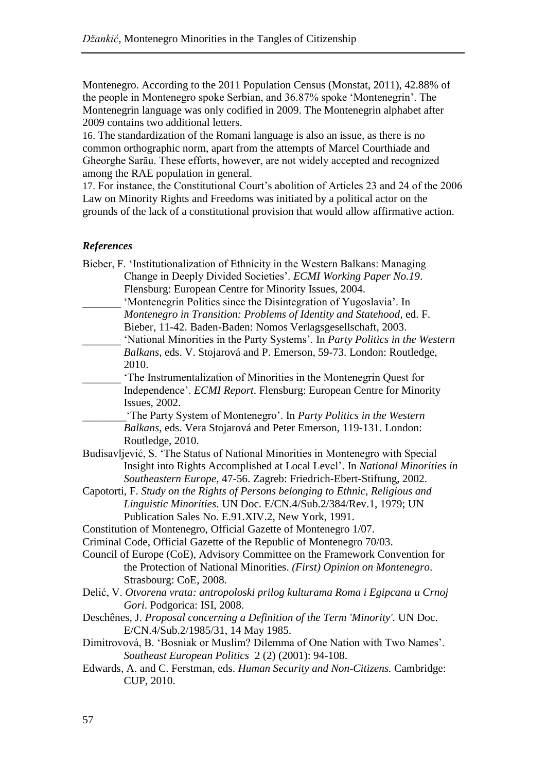Montenegro. According to the 2011 Population Census (Monstat, 2011), 42.88% of the people in Montenegro spoke Serbian, and 36.87% spoke 'Montenegrin'. The Montenegrin language was only codified in 2009. The Montenegrin alphabet after 2009 contains two additional letters.

16. The standardization of the Romani language is also an issue, as there is no common orthographic norm, apart from the attempts of Marcel Courthiade and Gheorghe Sarău. These efforts, however, are not widely accepted and recognized among the RAE population in general.

17. For instance, the Constitutional Court's abolition of Articles 23 and 24 of the 2006 Law on Minority Rights and Freedoms was initiated by a political actor on the grounds of the lack of a constitutional provision that would allow affirmative action.

## *References*

| Bieber, F. 'Institutionalization of Ethnicity in the Western Balkans: Managing<br>Change in Deeply Divided Societies'. ECMI Working Paper No.19.<br>Flensburg: European Centre for Minority Issues, 2004.<br>'Montenegrin Politics since the Disintegration of Yugoslavia'. In<br>Montenegro in Transition: Problems of Identity and Statehood, ed. F.<br>Bieber, 11-42. Baden-Baden: Nomos Verlagsgesellschaft, 2003.<br>'National Minorities in the Party Systems'. In Party Politics in the Western<br>Balkans, eds. V. Stojarová and P. Emerson, 59-73. London: Routledge,<br>2010.<br>'The Instrumentalization of Minorities in the Montenegrin Quest for<br>Independence'. ECMI Report. Flensburg: European Centre for Minority |
|---------------------------------------------------------------------------------------------------------------------------------------------------------------------------------------------------------------------------------------------------------------------------------------------------------------------------------------------------------------------------------------------------------------------------------------------------------------------------------------------------------------------------------------------------------------------------------------------------------------------------------------------------------------------------------------------------------------------------------------|
| <b>Issues</b> , 2002.                                                                                                                                                                                                                                                                                                                                                                                                                                                                                                                                                                                                                                                                                                                 |
| 'The Party System of Montenegro'. In Party Politics in the Western<br>Balkans, eds. Vera Stojarová and Peter Emerson, 119-131. London:<br>Routledge, 2010.                                                                                                                                                                                                                                                                                                                                                                                                                                                                                                                                                                            |
| Budisavljević, S. 'The Status of National Minorities in Montenegro with Special                                                                                                                                                                                                                                                                                                                                                                                                                                                                                                                                                                                                                                                       |
| Insight into Rights Accomplished at Local Level'. In National Minorities in<br>Southeastern Europe, 47-56. Zagreb: Friedrich-Ebert-Stiftung, 2002.                                                                                                                                                                                                                                                                                                                                                                                                                                                                                                                                                                                    |
| Capotorti, F. Study on the Rights of Persons belonging to Ethnic, Religious and                                                                                                                                                                                                                                                                                                                                                                                                                                                                                                                                                                                                                                                       |
| Linguistic Minorities. UN Doc. E/CN.4/Sub.2/384/Rev.1, 1979; UN                                                                                                                                                                                                                                                                                                                                                                                                                                                                                                                                                                                                                                                                       |
| Publication Sales No. E.91.XIV.2, New York, 1991.                                                                                                                                                                                                                                                                                                                                                                                                                                                                                                                                                                                                                                                                                     |
| Constitution of Montenegro, Official Gazette of Montenegro 1/07.                                                                                                                                                                                                                                                                                                                                                                                                                                                                                                                                                                                                                                                                      |
| Criminal Code, Official Gazette of the Republic of Montenegro 70/03.                                                                                                                                                                                                                                                                                                                                                                                                                                                                                                                                                                                                                                                                  |
| Council of Europe (CoE), Advisory Committee on the Framework Convention for<br>the Protection of National Minorities. (First) Opinion on Montenegro.<br>Strasbourg: CoE, 2008.                                                                                                                                                                                                                                                                                                                                                                                                                                                                                                                                                        |
| Delić, V. Otvorena vrata: antropoloski prilog kulturama Roma i Egipcana u Crnoj<br>Gori. Podgorica: ISI, 2008.                                                                                                                                                                                                                                                                                                                                                                                                                                                                                                                                                                                                                        |
| Deschênes, J. Proposal concerning a Definition of the Term 'Minority'. UN Doc.<br>E/CN.4/Sub.2/1985/31, 14 May 1985.                                                                                                                                                                                                                                                                                                                                                                                                                                                                                                                                                                                                                  |
| Dimitrovová, B. 'Bosniak or Muslim? Dilemma of One Nation with Two Names'.<br>Southeast European Politics 2 (2) (2001): 94-108.                                                                                                                                                                                                                                                                                                                                                                                                                                                                                                                                                                                                       |
| Edwards, A. and C. Ferstman, eds. Human Security and Non-Citizens. Cambridge:<br>CUP, 2010.                                                                                                                                                                                                                                                                                                                                                                                                                                                                                                                                                                                                                                           |
|                                                                                                                                                                                                                                                                                                                                                                                                                                                                                                                                                                                                                                                                                                                                       |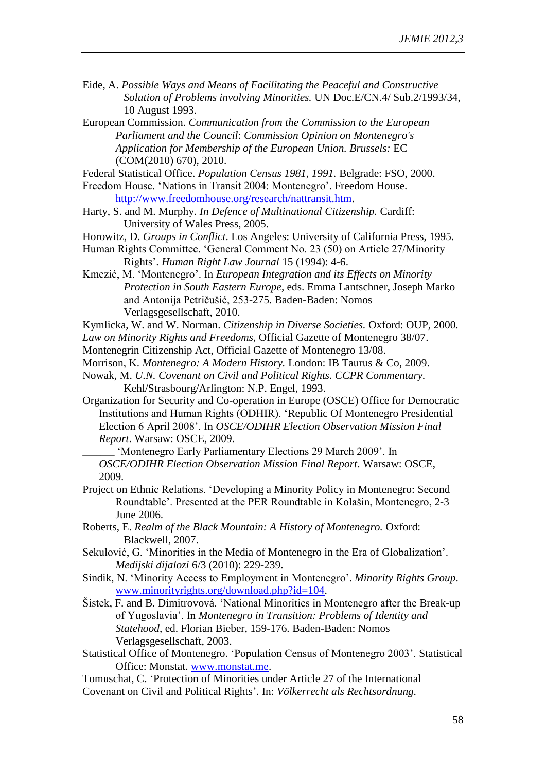- Eide, A. *Possible Ways and Means of Facilitating the Peaceful and Constructive Solution of Problems involving Minorities.* UN Doc.E/CN.4/ Sub.2/1993/34, 10 August 1993.
- European Commission. *Communication from the Commission to the European Parliament and the Council*: *Commission Opinion on Montenegro's Application for Membership of the European Union. Brussels:* EC (COM(2010) 670), 2010.

Federal Statistical Office. *Population Census 1981, 1991.* Belgrade: FSO, 2000. Freedom House. 'Nations in Transit 2004: Montenegro'. Freedom House.

[http://www.freedomhouse.org/research/nattransit.htm.](http://www.freedomhouse.org/research/nattransit.htm)

- Harty, S. and M. Murphy. *In Defence of Multinational Citizenship.* Cardiff: University of Wales Press, 2005.
- Horowitz, D. *Groups in Conflict*. Los Angeles: University of California Press, 1995.
- Human Rights Committee. 'General Comment No. 23 (50) on Article 27/Minority Rights'. *Human Right Law Journal* 15 (1994): 4-6.
- Kmezić, M. 'Montenegro'. In *European Integration and its Effects on Minority Protection in South Eastern Europe*, eds. Emma Lantschner, Joseph Marko and Antonija Petričušić, 253-275*.* Baden-Baden: Nomos Verlagsgesellschaft, 2010.

Kymlicka, W. and W. Norman. *Citizenship in Diverse Societies.* Oxford: OUP, 2000. *Law on Minority Rights and Freedoms*, Official Gazette of Montenegro 38/07.

Montenegrin Citizenship Act, Official Gazette of Montenegro 13/08.

- Morrison, K. *Montenegro: A Modern History.* London: IB Taurus & Co, 2009.
- Nowak, M. *U.N. Covenant on Civil and Political Rights. CCPR Commentary.*  Kehl/Strasbourg/Arlington: N.P. Engel, 1993.
- Organization for Security and Co-operation in Europe (OSCE) Office for Democratic Institutions and Human Rights (ODHIR). 'Republic Of Montenegro Presidential Election 6 April 2008'. In *OSCE/ODIHR Election Observation Mission Final Report*. Warsaw: OSCE, 2009.

\_\_\_\_\_\_\_ 'Montenegro Early Parliamentary Elections 29 March 2009'. In *OSCE/ODIHR Election Observation Mission Final Report*. Warsaw: OSCE, 2009.

- Project on Ethnic Relations. 'Developing a Minority Policy in Montenegro: Second Roundtable'. Presented at the PER Roundtable in Kolašin, Montenegro, 2-3 June 2006.
- Roberts, E. *Realm of the Black Mountain: A History of Montenegro.* Oxford: Blackwell, 2007.
- Sekulović, G. 'Minorities in the Media of Montenegro in the Era of Globalization'. *Medijski dijalozi* 6/3 (2010): 229-239.
- Sindik, N. 'Minority Access to Employment in Montenegro'. *Minority Rights Group*. [www.minorityrights.org/download.php?id=104.](http://www.minorityrights.org/download.php?id=104)
- Šístek, F. and B. Dimitrovová. 'National Minorities in Montenegro after the Break-up of Yugoslavia'. In *Montenegro in Transition: Problems of Identity and Statehood*, ed. Florian Bieber, 159-176. Baden-Baden: Nomos Verlagsgesellschaft, 2003.
- Statistical Office of Montenegro. 'Population Census of Montenegro 2003'. Statistical Office: Monstat. [www.monstat.me.](http://www.monstat.me/)
- Tomuschat, C. 'Protection of Minorities under Article 27 of the International Covenant on Civil and Political Rights'. In: *Völkerrecht als Rechtsordnung.*